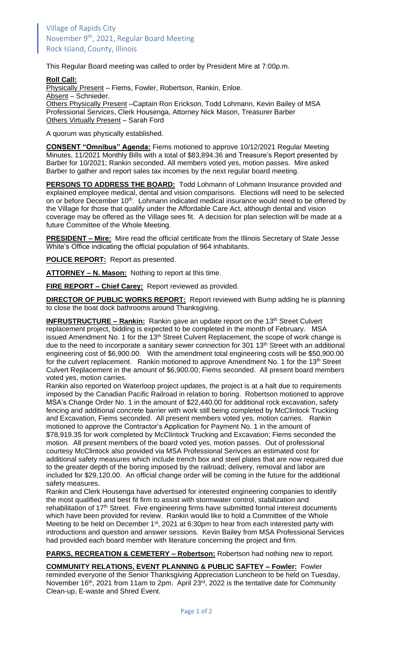This Regular Board meeting was called to order by President Mire at 7:00p.m.

## **Roll Call:**

Physically Present - Fiems, Fowler, Robertson, Rankin, Enloe. Absent - Schnieder.

Others Physically Present –Captain Ron Erickson, Todd Lohmann, Kevin Bailey of MSA Professional Services, Clerk Housenga, Attorney Nick Mason, Treasurer Barber Others Virtually Present – Sarah Ford

A quorum was physically established.

**CONSENT "Omnibus" Agenda:** Fiems motioned to approve 10/12/2021 Regular Meeting Minutes, 11/2021 Monthly Bills with a total of \$83,894.36 and Treasure's Report presented by Barber for 10/2021; Rankin seconded. All members voted yes, motion passes. Mire asked Barber to gather and report sales tax incomes by the next regular board meeting.

**PERSONS TO ADDRESS THE BOARD:** Todd Lohmann of Lohmann Insurance provided and explained employee medical, dental and vision comparisons. Elections will need to be selected on or before December 10<sup>th</sup>. Lohmann indicated medical insurance would need to be offered by the Village for those that qualify under the Affordable Care Act, although dental and vision coverage may be offered as the Village sees fit. A decision for plan selection will be made at a future Committee of the Whole Meeting.

**PRESIDENT – Mire:** Mire read the official certificate from the Illinois Secretary of State Jesse White's Office indicating the official population of 964 inhabitants.

**POLICE REPORT:** Report as presented.

**ATTORNEY – N. Mason:** Nothing to report at this time.

**FIRE REPORT – Chief Carey:** Report reviewed as provided.

**DIRECTOR OF PUBLIC WORKS REPORT:** Report reviewed with Bump adding he is planning to close the boat dock bathrooms around Thanksgiving.

**INFRUSTRUCTURE – Rankin:** Rankin gave an update report on the 13<sup>th</sup> Street Culvert replacement project, bidding is expected to be completed in the month of February. MSA issued Amendment No. 1 for the 13<sup>th</sup> Street Culvert Replacement, the scope of work change is due to the need to incorporate a sanitary sewer connection for 301 13<sup>th</sup> Street with an additional engineering cost of \$6,900.00. With the amendment total engineering costs will be \$50,900.00 for the culvert replacement. Rankin motioned to approve Amendment No. 1 for the 13<sup>th</sup> Street Culvert Replacement in the amount of \$6,900.00; Fiems seconded. All present board members voted yes, motion carries.

Rankin also reported on Waterloop project updates, the project is at a halt due to requirements imposed by the Canadian Pacific Railroad in relation to boring. Robertson motioned to approve MSA's Change Order No. 1 in the amount of \$22,440.00 for additional rock excavation, safety fencing and additional concrete barrier with work still being completed by McClintock Trucking and Excavation, Fiems seconded. All present members voted yes, motion carries. Rankin motioned to approve the Contractor's Application for Payment No. 1 in the amount of \$78,919.35 for work completed by McClintock Trucking and Excavation; Fiems seconded the motion. All present members of the board voted yes, motion passes. Out of professional courtesy McClintock also provided via MSA Professional Serivces an estimated cost for additional safety measures which include trench box and steel plates that are now required due to the greater depth of the boring imposed by the railroad; delivery, removal and labor are included for \$29,120.00. An official change order will be coming in the future for the additional safety measures.

Rankin and Clerk Housenga have advertised for interested engineering companies to identify the most qualified and best fit firm to assist with stormwater control, stabilization and rehabilitation of 17<sup>th</sup> Street. Five engineering firms have submitted formal interest documents which have been provided for review. Rankin would like to hold a Committee of the Whole Meeting to be held on December 1<sup>st</sup>, 2021 at 6:30pm to hear from each interested party with introductions and question and answer sessions. Kevin Bailey from MSA Professional Services had provided each board member with literature concerning the project and firm.

**PARKS, RECREATION & CEMETERY – Robertson:** Robertson had nothing new to report.

**COMMUNITY RELATIONS, EVENT PLANNING & PUBLIC SAFTEY – Fowler:** Fowler reminded everyone of the Senior Thanksgiving Appreciation Luncheon to be held on Tuesday, November 16<sup>th</sup>, 2021 from 11am to 2pm. April 23<sup>rd</sup>, 2022 is the tentative date for Community Clean-up, E-waste and Shred Event.